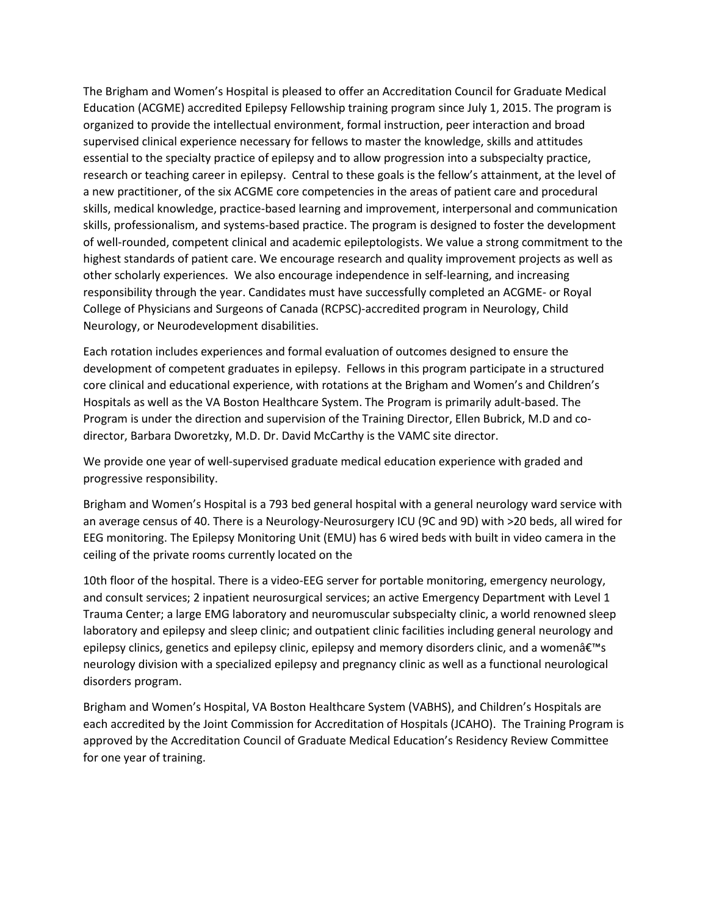The Brigham and Women's Hospital is pleased to offer an Accreditation Council for Graduate Medical Education (ACGME) accredited Epilepsy Fellowship training program since July 1, 2015. The program is organized to provide the intellectual environment, formal instruction, peer interaction and broad supervised clinical experience necessary for fellows to master the knowledge, skills and attitudes essential to the specialty practice of epilepsy and to allow progression into a subspecialty practice, research or teaching career in epilepsy. Central to these goals is the fellow's attainment, at the level of a new practitioner, of the six ACGME core competencies in the areas of patient care and procedural skills, medical knowledge, practice-based learning and improvement, interpersonal and communication skills, professionalism, and systems-based practice. The program is designed to foster the development of well-rounded, competent clinical and academic epileptologists. We value a strong commitment to the highest standards of patient care. We encourage research and quality improvement projects as well as other scholarly experiences. We also encourage independence in self-learning, and increasing responsibility through the year. Candidates must have successfully completed an ACGME- or Royal College of Physicians and Surgeons of Canada (RCPSC)-accredited program in Neurology, Child Neurology, or Neurodevelopment disabilities.

Each rotation includes experiences and formal evaluation of outcomes designed to ensure the development of competent graduates in epilepsy. Fellows in this program participate in a structured core clinical and educational experience, with rotations at the Brigham and Women's and Children's Hospitals as well as the VA Boston Healthcare System. The Program is primarily adult-based. The Program is under the direction and supervision of the Training Director, Ellen Bubrick, M.D and codirector, Barbara Dworetzky, M.D. Dr. David McCarthy is the VAMC site director.

We provide one year of well-supervised graduate medical education experience with graded and progressive responsibility.

Brigham and Women's Hospital is a 793 bed general hospital with a general neurology ward service with an average census of 40. There is a Neurology-Neurosurgery ICU (9C and 9D) with >20 beds, all wired for EEG monitoring. The Epilepsy Monitoring Unit (EMU) has 6 wired beds with built in video camera in the ceiling of the private rooms currently located on the

10th floor of the hospital. There is a video-EEG server for portable monitoring, emergency neurology, and consult services; 2 inpatient neurosurgical services; an active Emergency Department with Level 1 Trauma Center; a large EMG laboratory and neuromuscular subspecialty clinic, a world renowned sleep laboratory and epilepsy and sleep clinic; and outpatient clinic facilities including general neurology and epilepsy clinics, genetics and epilepsy clinic, epilepsy and memory disorders clinic, and a womenâ $\varepsilon<sup>TM</sup>$ s neurology division with a specialized epilepsy and pregnancy clinic as well as a functional neurological disorders program.

Brigham and Women's Hospital, VA Boston Healthcare System (VABHS), and Children's Hospitals are each accredited by the Joint Commission for Accreditation of Hospitals (JCAHO). The Training Program is approved by the Accreditation Council of Graduate Medical Education's Residency Review Committee for one year of training.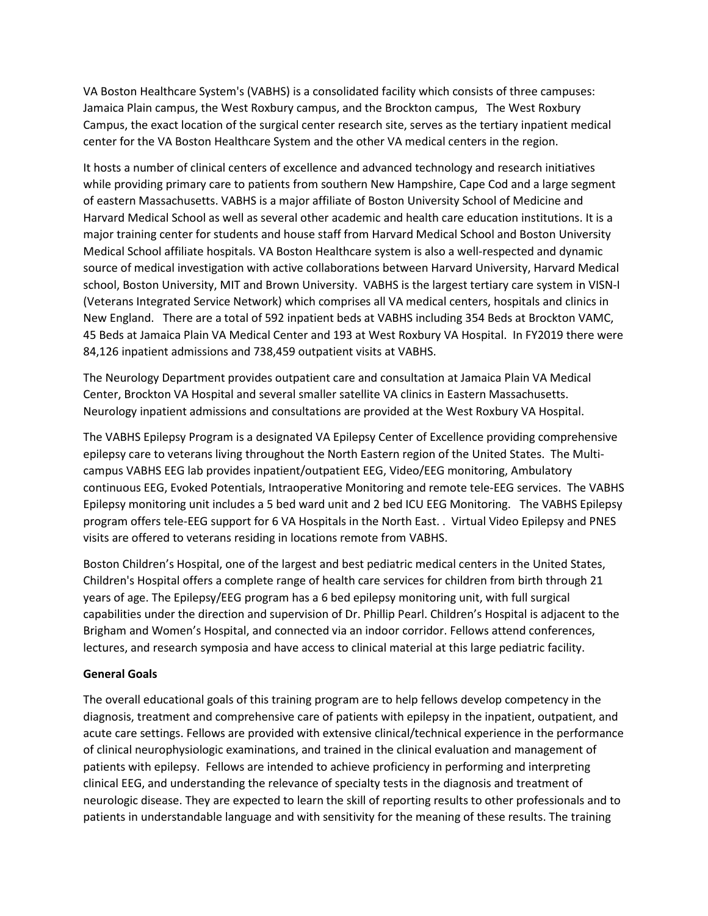VA Boston Healthcare System's (VABHS) is a consolidated facility which consists of three campuses: Jamaica Plain campus, the West Roxbury campus, and the Brockton campus, The West Roxbury Campus, the exact location of the surgical center research site, serves as the tertiary inpatient medical center for the VA Boston Healthcare System and the other VA medical centers in the region.

It hosts a number of clinical centers of excellence and advanced technology and research initiatives while providing primary care to patients from southern New Hampshire, Cape Cod and a large segment of eastern Massachusetts. VABHS is a major affiliate of Boston University School of Medicine and Harvard Medical School as well as several other academic and health care education institutions. It is a major training center for students and house staff from Harvard Medical School and Boston University Medical School affiliate hospitals. VA Boston Healthcare system is also a well-respected and dynamic source of medical investigation with active collaborations between Harvard University, Harvard Medical school, Boston University, MIT and Brown University. VABHS is the largest tertiary care system in VISN-I (Veterans Integrated Service Network) which comprises all VA medical centers, hospitals and clinics in New England. There are a total of 592 inpatient beds at VABHS including 354 Beds at Brockton VAMC, 45 Beds at Jamaica Plain VA Medical Center and 193 at West Roxbury VA Hospital. In FY2019 there were 84,126 inpatient admissions and 738,459 outpatient visits at VABHS.

The Neurology Department provides outpatient care and consultation at Jamaica Plain VA Medical Center, Brockton VA Hospital and several smaller satellite VA clinics in Eastern Massachusetts. Neurology inpatient admissions and consultations are provided at the West Roxbury VA Hospital.

The VABHS Epilepsy Program is a designated VA Epilepsy Center of Excellence providing comprehensive epilepsy care to veterans living throughout the North Eastern region of the United States. The Multicampus VABHS EEG lab provides inpatient/outpatient EEG, Video/EEG monitoring, Ambulatory continuous EEG, Evoked Potentials, Intraoperative Monitoring and remote tele-EEG services. The VABHS Epilepsy monitoring unit includes a 5 bed ward unit and 2 bed ICU EEG Monitoring. The VABHS Epilepsy program offers tele-EEG support for 6 VA Hospitals in the North East. . Virtual Video Epilepsy and PNES visits are offered to veterans residing in locations remote from VABHS.

Boston Children's Hospital, one of the largest and best pediatric medical centers in the United States, Children's Hospital offers a complete range of health care services for children from birth through 21 years of age. The Epilepsy/EEG program has a 6 bed epilepsy monitoring unit, with full surgical capabilities under the direction and supervision of Dr. Phillip Pearl. Children's Hospital is adjacent to the Brigham and Women's Hospital, and connected via an indoor corridor. Fellows attend conferences, lectures, and research symposia and have access to clinical material at this large pediatric facility.

## **General Goals**

The overall educational goals of this training program are to help fellows develop competency in the diagnosis, treatment and comprehensive care of patients with epilepsy in the inpatient, outpatient, and acute care settings. Fellows are provided with extensive clinical/technical experience in the performance of clinical neurophysiologic examinations, and trained in the clinical evaluation and management of patients with epilepsy. Fellows are intended to achieve proficiency in performing and interpreting clinical EEG, and understanding the relevance of specialty tests in the diagnosis and treatment of neurologic disease. They are expected to learn the skill of reporting results to other professionals and to patients in understandable language and with sensitivity for the meaning of these results. The training